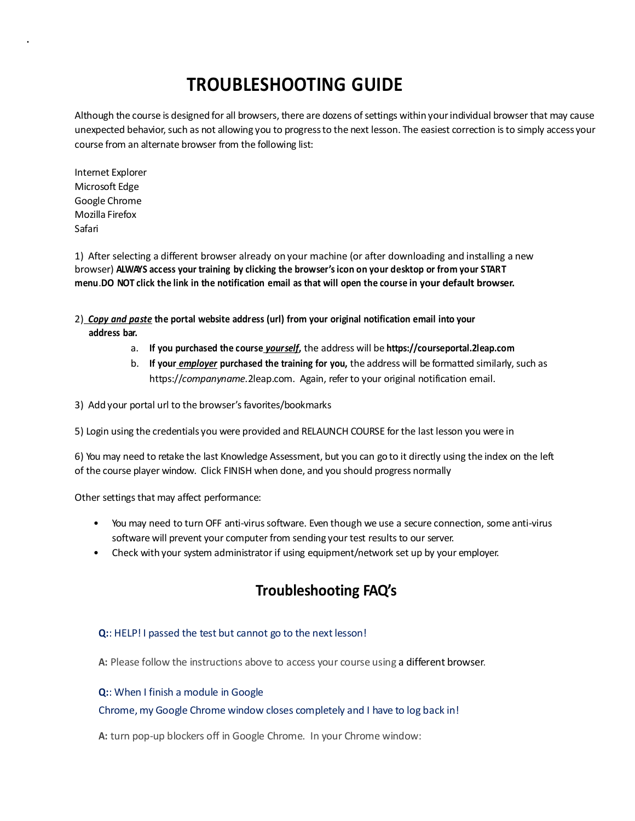# **TROUBLESHOOTING GUIDE**

Although the course is designed for all browsers, there are dozens of settings within your individual browser that may cause unexpected behavior, such as not allowing you to progress to the next lesson. The easiest correction is to simply access your course from an alternate browser from the following list:

Internet Explorer Microsoft Edge Google Chrome Mozilla Firefox Safari

1) After selecting a different browser already on your machine (or after downloading and installing a new browser) **ALWAYS access your training by clicking the browser's icon on your desktop or from your START**  menu.DO NOT click the link in the notification email as that will open the course in your default browser.

- 2) *Copy and paste* **the portal website address (url) from your original notification email into your address bar.**
	- a. **If you purchased the course** *yourself***,** the address will be **https://courseportal.2leap.com**
	- b. **If your** *employer* **purchased the training for you,** the address will be formatted similarly,such as https://*companyname.*2leap.com. Again, referto your original notification email.

3) Add your portal url to the browser's favorites/bookmarks

5) Login using the credentials you were provided and RELAUNCH COURSE for the last lesson you were in

6) You may need to retake the last Knowledge Assessment, but you can go to it directly using the index on the left of the course player window. Click FINISH when done, and you should progress normally

Other settings that may affect performance:

- You may need to turn OFF anti-virus software. Even though we use a secure connection, some anti-virus software will prevent your computer from sending your test results to our server.
- Check with your system administrator if using equipment/network set up by your employer.

# **Troubleshooting FAQ's**

# **Q:**: HELP! I passed the test but cannot go to the next lesson!

**A:** Please follow the instructions above to access your course using a different browser.

#### **Q:**: When I finish a module in Google

# Chrome, my Google Chrome window closes completely and I have to log back in!

**A:** turn pop-up blockers off in Google Chrome. In your Chrome window: